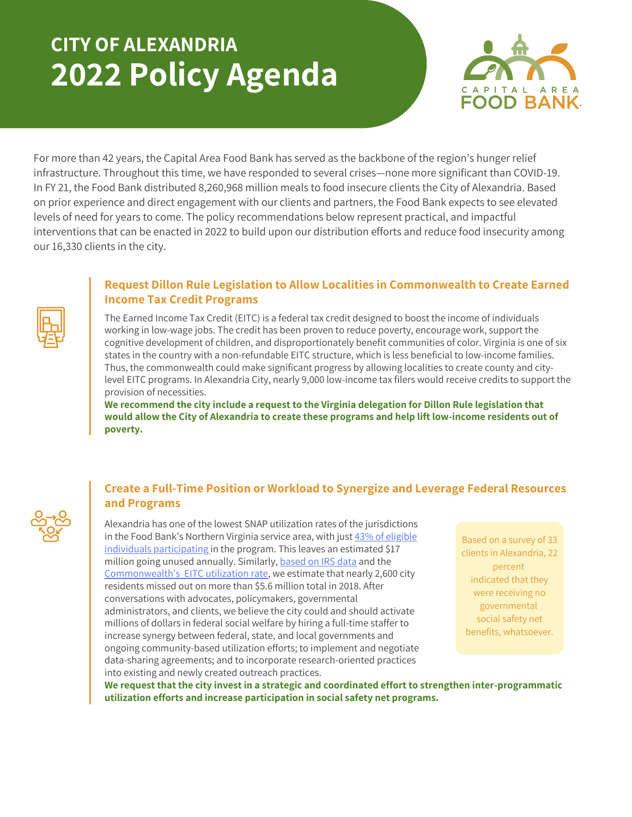## **CITY OF ALEXANDRIA 2022 Policy Agenda**



For more than 42 years, the Capital Area Food Bank has served as the backbone of the region's hunger relief infrastructure. Throughout this time, we have responded to several crises—none more significant than COVID-19. In FY 21, the Food Bank distributed 8,260,968 million meals to food insecure clients the City of Alexandria. Based on prior experience and direct engagement with our clients and partners, the Food Bank expects to see elevated levels of need for years to come. The policy recommendations below represent practical, and impactful interventions that can be enacted in 2022 to build upon our distribution efforts and reduce food insecurity among our 16,330 clients in the city.

## **Request Dillon Rule Legislation to Allow Localities in Commonwealth to Create Earned Income Tax Credit Programs**

The Earned Income Tax Credit (EITC) is a federal tax credit designed to boost the income of individuals working in low-wage jobs. The credit has been proven to reduce poverty, encourage work, support the cognitive development of children, and disproportionately benefit communities of color. Virginia is one of six states in the country with a non-refundable EITC structure, which is less beneficial to low-income families. Thus, the commonwealth could make significant progress by allowing localities to create county and citylevel EITC programs. In Alexandria City, nearly 9,000 low-income tax filers would receive credits to support the provision of necessities.

**We recommend the city include a request to the Virginia delegation for Dillon Rule legislation that would allow the City of Alexandria to create these programs and help lift low-income residents out of poverty.**

## **Create a Full-Time Position or Workload to Synergize and Leverage Federal Resources and Programs**

Alexandria has one of the lowest SNAP utilization rates of the jurisdictions in the Food Bank's Northern Virginia service area, with just [43%](https://hunger-report.capitalareafoodbank.org/) of eligible individuals [participating](https://hunger-report.capitalareafoodbank.org/) in the program. This leaves an estimated \$17 million going unu[s](https://www.eitc.irs.gov/eitc-central/participation-rate/eitc-participation-rate-by-states#:~:text=EITC%20Participation%20Rate%20by%20States%20%20%20,%20%2080.9%25%20%2029%20more%20rows%20)ed annually. Similarly, [based](https://www.irs.gov/statistics/soi-tax-stats-county-data-2018) on IRS data and the [Commonwealth's](https://www.eitc.irs.gov/eitc-central/participation-rate/eitc-participation-rate-by-states#:~:text=EITC%20Participation%20Rate%20by%20States%20%20%20,%20%2080.9%25%20%2029%20more%20rows%20) EITC [utilization](https://www.eitc.irs.gov/eitc-central/participation-rate/eitc-participation-rate-by-states#:~:text=EITC%20Participation%20Rate%20by%20States%20%20%20,%20%2080.9%25%20%2029%20more%20rows%20) rate, we estimate that nearly 2,600 city residents missed out on more than \$5.6 million total in 2018. After conversations with advocates, policymakers, governmental administrators, and clients, we believe the city could and should activate millions of dollars in federal social welfare by hiring a full-time staffer to increase synergy between federal, state, and local governments and ongoing community-based utilization efforts; to implement and negotiate data-sharing agreements; and to incorporate research-oriented practices into existing and newly created outreach practices.

Based on a survey of 33 clients in Alexandria, 22 percent indicated that they were receiving no governmental social safety net benefits, whatsoever.

**We request that the city invest in a strategic and coordinated effort to strengthen inter-programmatic utilization efforts and increase participation in social safety net programs.**